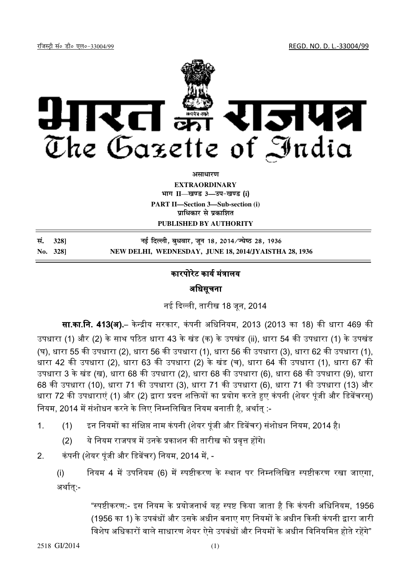<u>रजिस्ट्री सं० डी० एल०-33004/99</u> बाली के साथ साथ से प्राप्त करने के साथ से REGD. NO. D. L.-33004/99



असाधा**र**ण **EXTRAORDINARY**

**Hkkx II**—**[k.M 3—mi&[k.M** (**i**)

**PART II—Section 3—Sub-section (i) प्राधिकार से प्रकाशित** 

**PUBLISHED BY AUTHORITY**

| सं. 3281 | नई दिल्ली, बुधवार, जून 18, 2014⁄ज्येष्ठ 28, 1936      |
|----------|-------------------------------------------------------|
| No. 328] | NEW DELHI, WEDNESDAY, JUNE 18, 2014/JYAISTHA 28, 1936 |

## कारपोरेट कार्य मंत्रालय

 $\overline{a}$ 

अधिसचना

नई दली, तारीख 18 जून, 2014

**सा.का.नि. 413(अ).**– केन्द्रीय सरकार, कंपनी अधिनियम, 2013 (2013 का 18) की धारा 469 की उपधारा (1) और (2) के साथ पठित धारा 43 के खंड (क) के उपखंड (ii), धारा 54 की उपधारा (1) के उपखंड (घ), धारा 55 की उपधारा (2), धारा 56 की उपधारा (1), धारा 56 की उपधारा (3), धारा 62 की उपधारा (1), धारा 42 की उपधारा (2), धारा 63 की उपधारा (2) के खंड (च), धारा 64 की उपधारा (1), धारा 67 की उपधारा 3 के खंड (ख), धारा 68 की उपधारा (2), धारा 68 की उपधारा (6), धारा 68 की उपधारा (9), धारा 68 की उपधारा (10), धारा 71 की उपधारा (3), धारा 71 की उपधारा (6), धारा 71 की उपधारा (13) और धारा 72 की उपधाराएं (1) और (2) द्वारा प्रदत्त शक्तियों का प्रयोग करते हुए कंपनी (शेयर पूंजी और डिबेंचरस्) नियम, 2014 में संशोधन करने के लिए निम्नलिखित नियम बनाती है, अर्थात् :-

- 1. (1) इन नियमों का संक्षिप्त नाम कंपनी (शेयर पूंजी और डिबेंचर) संशोधन नियम, 2014 है।
	- (2) ये नियम राजपत्र में उनके प्रकाशन की तारीख को प्रवृत्त होंगे।
- 2. कंपनी (शेयर पूंजी और डिबेंचर) नियम, 2014 में, -

(i) नियम 4 में उपनियम (6) में स्पष्टीकरण के स्थान पर निम्नलिखित स्पष्टीकरण रखा जाएगा, अर्थात:-

> "स्पष्टीकरण:- इस नियम के प्रयोजनार्थ यह स्पष्ट किया जाता है कि कंपनी अधिनियम, 1956 (1956 का 1) के उपबंधों और उसके अधीन बनाए गए नियमों के अधीन किसी कंपनी द्वारा जारी विशेष अधिकारों वाले साधारण शेयर ऐसे उपबंधों और नियमों के अधीन विनियमित होते रहेंगे"

2518 GI/2014 (1)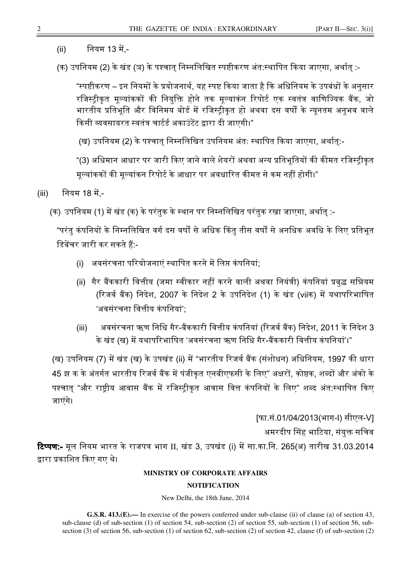- (ii) नियम 13 में,-
- (क) उपनियम (2) के खंड (ञ) के पश्चात निम्नलिखित स्पष्टीकरण अंत:स्थापित किया जाएगा, अर्थात :-

"स्पष्टीकरण – इन नियमों के प्रयोजनार्थ, यह स्पष्ट किया जाता है कि अधिनियम के उपबंधों के अनुसार रजिस्ट्रीकृत मूल्यांककों की नियुक्ति होने तक मूल्याकंन रिपोर्ट एक स्वतंत्र वाणिज्यिक बैंक, जो भारतीय प्रतिभूति और विनिमय बोर्ड में रजिस्ट्रीकृत हो अथवा दस वर्षों के न्यूनतम अनुभव वाले किसी व्यवसायरत स्वतंत्र चार्टर्ड अकाउंटेंट द्वारा दी जाएगी।"

(ख) उपनियम (2) के पश्चात निम्नलिखित उपनियम अंतः स्थापित किया जाएगा, अर्थात:-

"(3) अधिमान आधार पर जारी किए जाने वाले शेयरों अथवा अन्य प्रतिभूतियों की कीमत रजिस्ट्रीकृत मूल्यांककों की मूल्यांकन रिपोर्ट के आधार पर अवधारित कीमत से कम नहीं होगी।"

(iii) नियम 18 में -

(क) उपनियम (1) में खंड (क) के परंतुक के स्थान पर निम्नलिखित परंतुक रखा जाएगा, अर्थात् :-

"परंतु कंपनियों के निम्नलिखित वर्ग दस वर्षों से अधिक किंतु तीस वर्षों से अनधिक अवधि के लिए प्रतिभूत डिबेंचर जारी कर सकते हैं:-

- (i) अवसंरचना परियोजनाएं स्थापित करने में लिप्त कंपनियां:
- (ii) गैर बैंककारी वित्तीय (जमा स्वीकार नहीं करने वाली अथवा नियंत्री) कंपनियां प्रबुद्ध सन्नियम (रिजर्व बैंक) निदेश, 2007 के निदेश 2 के उपनिदेश (1) के खंड (viiक) में यथापरिभाषित 'अवसंरचना वित्तीय कंपनियां':
- (iii) अवसंरचना ऋण निधि गैर-बैंककारी वित्तीय कंपनियां (रिजर्व बैंक) निदेश, 2011 के निदेश 3 के खंड (ख) में यथापरिभाषित 'अवसंरचना ऋण निधि गैर-बैंककारी वित्तीय कंपनियां'।"

(ख) उपनियम (7) में खंड (ख) के उपखंड (ii) में "भारतीय रिजर्व बैंक (संशोधन) अधिनियम, 1997 की धारा 45 झ क के अंतर्गत भारतीय रिजर्व बैंक में पंजीकृत एनबीएफसी के लिए" अक्षरों, कोष्ठक, शब्दों और अंको के पश्चात् "और राष्ट्रीय आवास बैंक में रजिस्ट्रीकृत आवास वित्त कंपनियों के लिए" शब्द अंत:स्थापित किए जाएंगे।

[फा.सं.01/04/2013(भाग-I) सीएल-V] अमरदीप सिंह भाटिया, संयुक्त सचिव **टिप्पण:-** मूल नियम भारत के राजपत्र भाग II, खंड 3, उपखंड (i) में सा.का.नि. 265(अ) तारीख 31.03.2014 द्वारा प्रकाशित किए गए थे।

## **MINISTRY OF CORPORATE AFFAIRS**

## **NOTIFICATION**

New Delhi, the 18th June, 2014

**G.S.R. 413.(E).—** In exercise of the powers conferred under sub-clause (ii) of clause (a) of section 43, sub-clause (d) of sub-section (1) of section 54, sub-section (2) of section 55, sub-section (1) of section 56, subsection (3) of section 56, sub-section (1) of section 62, sub-section (2) of section 42, clause (f) of sub-section (2)